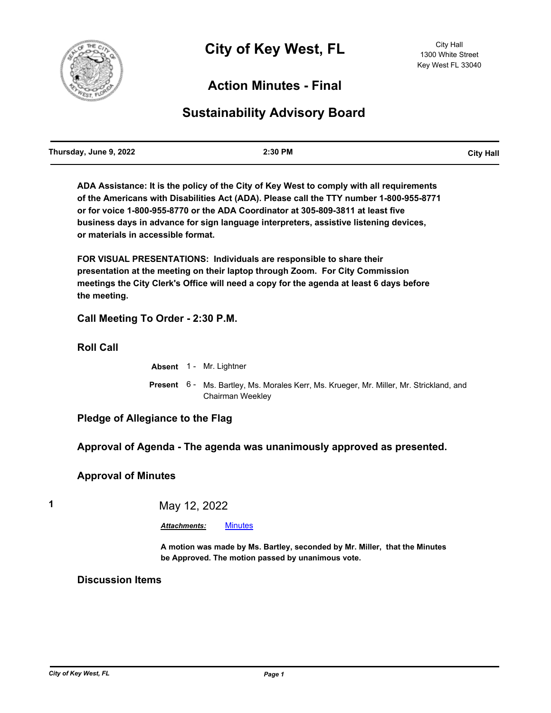

## **Action Minutes - Final**

## **Sustainability Advisory Board**

| Thursday, June 9, 2022 | 2:30 PM | <b>City Hall</b> |
|------------------------|---------|------------------|
|                        |         |                  |

**ADA Assistance: It is the policy of the City of Key West to comply with all requirements of the Americans with Disabilities Act (ADA). Please call the TTY number 1-800-955-8771 or for voice 1-800-955-8770 or the ADA Coordinator at 305-809-3811 at least five business days in advance for sign language interpreters, assistive listening devices, or materials in accessible format.**

**FOR VISUAL PRESENTATIONS: Individuals are responsible to share their presentation at the meeting on their laptop through Zoom. For City Commission meetings the City Clerk's Office will need a copy for the agenda at least 6 days before the meeting.**

**Call Meeting To Order - 2:30 P.M.**

**Roll Call**

**Absent** 1 - Mr. Lightner

Present 6 - Ms. Bartley, Ms. Morales Kerr, Ms. Krueger, Mr. Miller, Mr. Strickland, and Chairman Weekley

**Pledge of Allegiance to the Flag**

**Approval of Agenda - The agenda was unanimously approved as presented.**

**Approval of Minutes**

**1** May 12, 2022

*Attachments:* [Minutes](http://KeyWest.legistar.com/gateway.aspx?M=F&ID=d56766bb-672c-476b-8de3-e241e9450ccd.pdf)

**A motion was made by Ms. Bartley, seconded by Mr. Miller, that the Minutes be Approved. The motion passed by unanimous vote.**

**Discussion Items**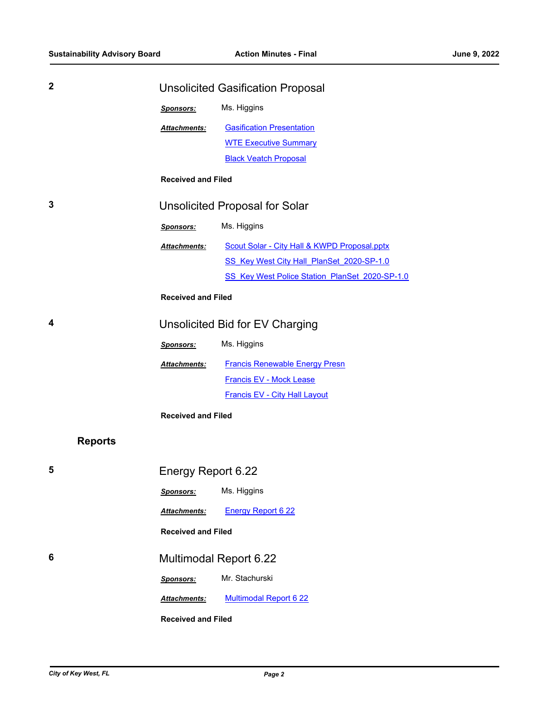| $\mathbf{2}$   | <b>Unsolicited Gasification Proposal</b> |                                                |
|----------------|------------------------------------------|------------------------------------------------|
|                | Sponsors:                                | Ms. Higgins                                    |
|                | Attachments:                             | <b>Gasification Presentation</b>               |
|                |                                          | <b>WTE Executive Summary</b>                   |
|                |                                          | <b>Black Veatch Proposal</b>                   |
|                | <b>Received and Filed</b>                |                                                |
| 3              | <b>Unsolicited Proposal for Solar</b>    |                                                |
|                | Sponsors:                                | Ms. Higgins                                    |
|                | Attachments:                             | Scout Solar - City Hall & KWPD Proposal.pptx   |
|                |                                          | SS Key West City Hall PlanSet 2020-SP-1.0      |
|                |                                          | SS Key West Police Station PlanSet 2020-SP-1.0 |
|                | <b>Received and Filed</b>                |                                                |
| 4              | Unsolicited Bid for EV Charging          |                                                |
|                | Sponsors:                                | Ms. Higgins                                    |
|                | <b>Attachments:</b>                      | <b>Francis Renewable Energy Presn</b>          |
|                |                                          | <b>Francis EV - Mock Lease</b>                 |
|                |                                          | <b>Francis EV - City Hall Layout</b>           |
|                | <b>Received and Filed</b>                |                                                |
| <b>Reports</b> |                                          |                                                |
| 5              | Energy Report 6.22                       |                                                |
|                | <b>Sponsors:</b>                         | Ms. Higgins                                    |
|                | Attachments:                             | <b>Energy Report 6 22</b>                      |
|                | <b>Received and Filed</b>                |                                                |
| 6              | <b>Multimodal Report 6.22</b>            |                                                |
|                | Sponsors:                                | Mr. Stachurski                                 |
|                | Attachments:                             | <b>Multimodal Report 6 22</b>                  |
|                | <b>Received and Filed</b>                |                                                |